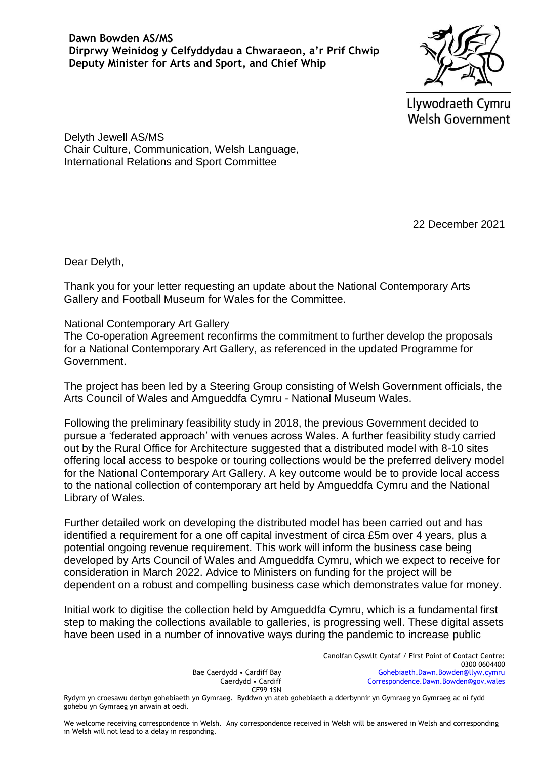**Dawn Bowden AS/MS Dirprwy Weinidog y Celfyddydau a Chwaraeon, a'r Prif Chwip Deputy Minister for Arts and Sport, and Chief Whip**

Llywodraeth Cymru **Welsh Government** 

Delyth Jewell AS/MS Chair Culture, Communication, Welsh Language, International Relations and Sport Committee

22 December 2021

Dear Delyth,

Thank you for your letter requesting an update about the National Contemporary Arts Gallery and Football Museum for Wales for the Committee.

## National Contemporary Art Gallery

The Co-operation Agreement reconfirms the commitment to further develop the proposals for a National Contemporary Art Gallery, as referenced in the updated Programme for Government.

The project has been led by a Steering Group consisting of Welsh Government officials, the Arts Council of Wales and Amgueddfa Cymru - National Museum Wales.

Following the preliminary feasibility study in 2018, the previous Government decided to pursue a 'federated approach' with venues across Wales. A further feasibility study carried out by the Rural Office for Architecture suggested that a distributed model with 8-10 sites offering local access to bespoke or touring collections would be the preferred delivery model for the National Contemporary Art Gallery. A key outcome would be to provide local access to the national collection of contemporary art held by Amgueddfa Cymru and the National Library of Wales.

Further detailed work on developing the distributed model has been carried out and has identified a requirement for a one off capital investment of circa £5m over 4 years, plus a potential ongoing revenue requirement. This work will inform the business case being developed by Arts Council of Wales and Amgueddfa Cymru, which we expect to receive for consideration in March 2022. Advice to Ministers on funding for the project will be dependent on a robust and compelling business case which demonstrates value for money.

Initial work to digitise the collection held by Amgueddfa Cymru, which is a fundamental first step to making the collections available to galleries, is progressing well. These digital assets have been used in a number of innovative ways during the pandemic to increase public

> Bae Caerdydd • Cardiff Bay Caerdydd • Cardiff CF99 1SN

Canolfan Cyswllt Cyntaf / First Point of Contact Centre: 0300 0604400 [Gohebiaeth.Dawn.Bowden@llyw.cymru](mailto:Gohebiaeth.Dawn.Bowden@llyw.cymru)   [Correspondence.Dawn.Bowden@gov.wales](mailto:Correspondence.Dawn.Bowden@gov.wales)

Rydym yn croesawu derbyn gohebiaeth yn Gymraeg. Byddwn yn ateb gohebiaeth a dderbynnir yn Gymraeg yn Gymraeg ac ni fydd gohebu yn Gymraeg yn arwain at oedi.

We welcome receiving correspondence in Welsh. Any correspondence received in Welsh will be answered in Welsh and corresponding in Welsh will not lead to a delay in responding.